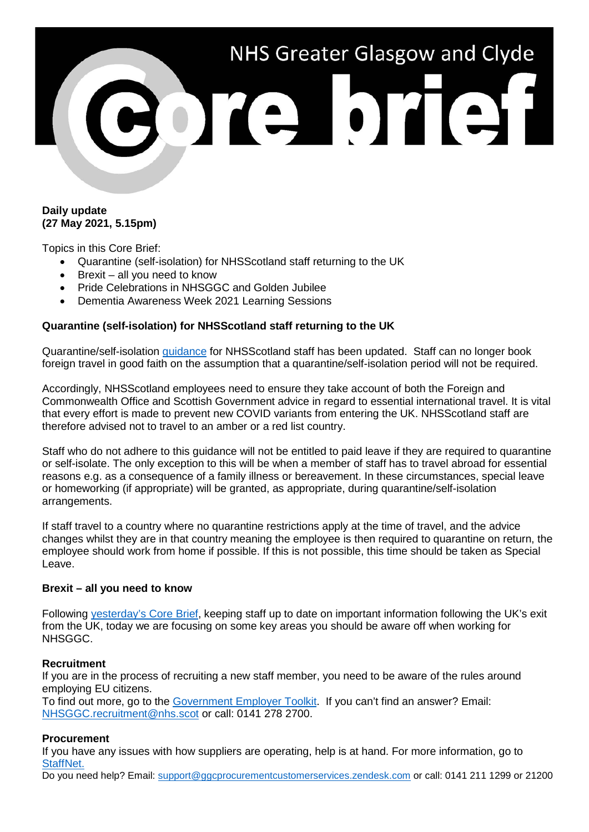

### **Daily update (27 May 2021, 5.15pm)**

Topics in this Core Brief:

- Quarantine (self-isolation) for NHSScotland staff returning to the UK
- Brexit all you need to know
- Pride Celebrations in NHSGGC and Golden Jubilee
- Dementia Awareness Week 2021 Learning Sessions

### **Quarantine (self-isolation) for NHSScotland staff returning to the UK**

Quarantine/self-isolation [guidance](https://www.nhsggc.org.uk/media/267158/covid19_staff_quarantine_returning_to_uk.pdf) for NHSScotland staff has been updated. Staff can no longer book foreign travel in good faith on the assumption that a quarantine/self-isolation period will not be required.

Accordingly, NHSScotland employees need to ensure they take account of both the Foreign and Commonwealth Office and Scottish Government advice in regard to essential international travel. It is vital that every effort is made to prevent new COVID variants from entering the UK. NHSScotland staff are therefore advised not to travel to an amber or a red list country.

Staff who do not adhere to this guidance will not be entitled to paid leave if they are required to quarantine or self-isolate. The only exception to this will be when a member of staff has to travel abroad for essential reasons e.g. as a consequence of a family illness or bereavement. In these circumstances, special leave or homeworking (if appropriate) will be granted, as appropriate, during quarantine/self-isolation arrangements.

If staff travel to a country where no quarantine restrictions apply at the time of travel, and the advice changes whilst they are in that country meaning the employee is then required to quarantine on return, the employee should work from home if possible. If this is not possible, this time should be taken as Special Leave.

### **Brexit – all you need to know**

Following [yesterday's Core Brief,](https://www.nhsggc.org.uk/media/267119/110-core-brief-26-may-2021-daily-update-525pm.pdf) keeping staff up to date on important information following the UK's exit from the UK, today we are focusing on some key areas you should be aware off when working for NHSGGC.

### **Recruitment**

If you are in the process of recruiting a new staff member, you need to be aware of the rules around employing EU citizens.

To find out more, go to the [Government Employer Toolkit.](https://www.gov.uk/government/collections/eu-settlement-scheme-employer-toolkit) If you can't find an answer? Email: [NHSGGC.recruitment@nhs.scot](mailto:NHSGGC.recruitment@nhs.scot) or call: 0141 278 2700.

### **Procurement**

If you have any issues with how suppliers are operating, help is at hand. For more information, go to [StaffNet.](http://www.staffnet.ggc.scot.nhs.uk/Corporate%20Services/Communications/Briefs/Pages/comms_CoreBrief-2March2021(500pm)_LS020321.aspx)

Do you need help? Email: [support@ggcprocurementcustomerservices.zendesk.com](mailto:support@ggcprocurementcustomerservices.zendesk.com) or call: 0141 211 1299 or 21200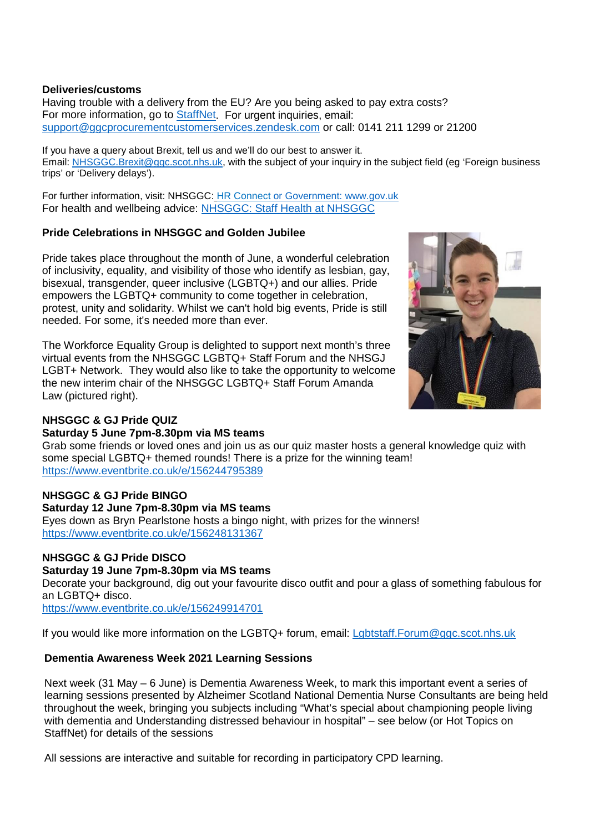### **Deliveries/customs**

Having trouble with a delivery from the EU? Are you being asked to pay extra costs? For more information, go to [StaffNet.](http://www.staffnet.ggc.scot.nhs.uk/Corporate%20Services/Communications/Briefs/Pages/comms_CoreBrief-2March2021(500pm)_LS020321.aspx) For urgent inquiries, email: [support@ggcprocurementcustomerservices.zendesk.com](mailto:support@ggcprocurementcustomerservices.zendesk.com) or call: 0141 211 1299 or 21200

If you have a query about Brexit, tell us and we'll do our best to answer it. Email: [NHSGGC.Brexit@ggc.scot.nhs.uk,](mailto:NHSGGC.Brexit@ggc.scot.nhs.uk) with the subject of your inquiry in the subject field (eg 'Foreign business trips' or 'Delivery delays').

For further information, visit: NHSGGC: [HR Connect](https://www.nhsggc.org.uk/working-with-us/hr-connect/brexit-information-for-managers-staff/) or Government: [www.gov.uk](http://www.gov.uk/) For health and wellbeing advice: [NHSGGC: Staff Health at NHSGGC](https://www.nhsggc.org.uk/working-with-us/staff-health/)

### **Pride Celebrations in NHSGGC and Golden Jubilee**

Pride takes place throughout the month of June, a wonderful celebration of inclusivity, equality, and visibility of those who identify as lesbian, gay, bisexual, transgender, queer inclusive (LGBTQ+) and our allies. Pride empowers the LGBTQ+ community to come together in celebration, protest, unity and solidarity. Whilst we can't hold big events, Pride is still needed. For some, it's needed more than ever.

The Workforce Equality Group is delighted to support next month's three virtual events from the NHSGGC LGBTQ+ Staff Forum and the NHSGJ LGBT+ Network. They would also like to take the opportunity to welcome the new interim chair of the NHSGGC LGBTQ+ Staff Forum Amanda Law (pictured right).



# **NHSGGC & GJ Pride QUIZ**

### **Saturday 5 June 7pm-8.30pm via MS teams**

Grab some friends or loved ones and join us as our quiz master hosts a general knowledge quiz with some special LGBTQ+ themed rounds! There is a prize for the winning team! <https://www.eventbrite.co.uk/e/156244795389>

### **NHSGGC & GJ Pride BINGO**

**Saturday 12 June 7pm-8.30pm via MS teams** Eyes down as Bryn Pearlstone hosts a bingo night, with prizes for the winners! <https://www.eventbrite.co.uk/e/156248131367>

# **NHSGGC & GJ Pride DISCO**

### **Saturday 19 June 7pm-8.30pm via MS teams**

Decorate your background, dig out your favourite disco outfit and pour a glass of something fabulous for an LGBTQ+ disco. <https://www.eventbrite.co.uk/e/156249914701>

If you would like more information on the LGBTQ+ forum, email: [Lgbtstaff.Forum@ggc.scot.nhs.uk](mailto:Lgbtstaff.Forum@ggc.scot.nhs.uk)

# **Dementia Awareness Week 2021 Learning Sessions**

Next week (31 May – 6 June) is Dementia Awareness Week, to mark this important event a series of learning sessions presented by Alzheimer Scotland National Dementia Nurse Consultants are being held throughout the week, bringing you subjects including "What's special about championing people living with dementia and Understanding distressed behaviour in hospital" – see below (or Hot Topics on StaffNet) for details of the sessions

All sessions are interactive and suitable for recording in participatory CPD learning.